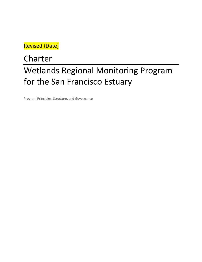Revised {Date}

# Wetlands Regional Monitoring Program for the San Francisco Estuary Charter

Program Principles, Structure, and Governance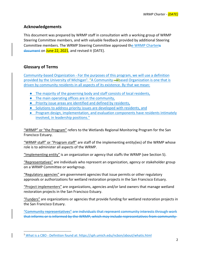### **Acknowledgements**

 This document was prepared by WRMP staff in consultation with a working group of WRMP Steering Committee members, and with valuable feedback provided by additional Steering Committee members. The WRMP Steering Committee approved the WRMP Charteris document on <mark>June 22, 2021</mark>, and revised it {DATE}.

# **Glossary of Terms**

 Community‐based Organization ‐ For the purposes of this program, we will use a definition provided by the University of Michigan<sup>1</sup>. "A Community-Bbased Organization is one that is driven by community residents in all aspects of its existence. By that we mean:

- **•** The majority of the governing body and staff consists of local residents,
- **•** The main operating offices are in the community,
- **•** Priority issue areas are identified and defined by residents,
- Solutions to address priority issues are developed with residents, and
- **Program design, implementation, and evaluation components have residents intimately** involved, in leadership positions."

 "WRMP" or "the Program" refers to the Wetlands Regional Monitoring Program for the San Francisco Estuary.

 "WRMP staff" or "Program staff" are staff of the implementing entity(ies) of the WRMP whose role is to administer all aspects of the WRMP.

"Implementing entity" is an organization or agency that staffs the WRMP (see Section 5).

 "Representatives" are individuals who represent an organization, agency or stakeholder group on a WRMP Committee or workgroup.

 "Regulatory agencies" are government agencies that issue permits or other regulatory approvals or authorizations for wetland restoration projects in the San Francisco Estuary.

 "Project implementers" are organizations, agencies and/or land owners that manage wetland restoration projects in the San Francisco Estuary.

 "Funders" are organizations or agencies that provide funding for wetland restoration projects in the San Francisco Estuary.

 "Community representatives" are individuals that represent community interests through work that informs or is informed by the WRMP, which may include representatives from community‐

<sup>&</sup>lt;sup>1</sup> What is a CBO - Definition found at: <https://sph.umich.edu/ncbon/about/whatis.html>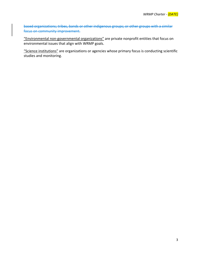based organizations; tribes, bands or other indigenous groups; or other groups with a similar focus on community improvement.

 "Environmental non‐governmental organizations" are private nonprofit entities that focus on environmental issues that align with WRMP goals.

 "Science institutions" are organizations or agencies whose primary focus is conducting scientific studies and monitoring.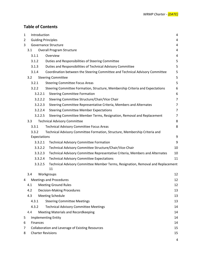# **Table of Contents**

| 1 | Introduction                                                                        |                                                                                       | 4              |
|---|-------------------------------------------------------------------------------------|---------------------------------------------------------------------------------------|----------------|
| 2 |                                                                                     | <b>Guiding Principles</b>                                                             | 4              |
| 3 |                                                                                     | Governance Structure                                                                  | 4              |
|   | 3.1                                                                                 | <b>Overall Program Structure</b>                                                      | 4              |
|   | 3.1.1                                                                               | Overview                                                                              | 4              |
|   | 3.1.2                                                                               | Duties and Responsibilities of Steering Committee                                     | 5              |
|   | 3.1.3                                                                               | Duties and Responsibilities of Technical Advisory Committee                           | 5              |
|   | 3.1.4                                                                               | Coordination between the Steering Committee and Technical Advisory Committee          | 5              |
|   | 3.2<br><b>Steering Committee</b>                                                    |                                                                                       | 5              |
|   | 3.2.1                                                                               | <b>Steering Committee Focus Areas</b>                                                 | 5              |
|   | 3.2.2                                                                               | Steering Committee Formation, Structure, Membership Criteria and Expectations         | 6              |
|   | 3.2.2.1                                                                             | <b>Steering Committee Formation</b>                                                   | 6              |
|   | 3.2.2.2                                                                             | Steering Committee Structure/Chair/Vice Chair                                         | $\overline{7}$ |
|   | 3.2.2.3                                                                             | Steering Committee Representative Criteria, Members and Alternates                    | 7              |
|   | 3.2.2.4                                                                             | <b>Steering Committee Member Expectations</b>                                         | 7              |
|   | 3.2.2.5                                                                             | Steering Committee Member Terms, Resignation, Removal and Replacement                 | $\overline{7}$ |
|   | 3.3                                                                                 | <b>Technical Advisory Committee</b>                                                   | 8              |
|   | 3.3.1                                                                               | <b>Technical Advisory Committee Focus Areas</b>                                       | 8              |
|   | 3.3.2<br>Technical Advisory Committee Formation, Structure, Membership Criteria and |                                                                                       |                |
|   | Expectations                                                                        |                                                                                       | 9              |
|   | 3.3.2.1                                                                             | <b>Technical Advisory Committee Formation</b>                                         | 9              |
|   | 3.3.2.2                                                                             | Technical Advisory Committee Structure/Chair/Vice-Chair                               | 10             |
|   | 3.3.2.3                                                                             | Technical Advisory Committee Representative Criteria, Members and Alternates          | 10             |
|   | 3.3.2.4                                                                             | <b>Technical Advisory Committee Expectations</b>                                      | 11             |
|   | 3.3.2.5                                                                             | Technical Advisory Committee Member Terms, Resignation, Removal and Replacement<br>11 |                |
|   | 3.4                                                                                 | Workgroups                                                                            | 12             |
| 4 | <b>Meetings and Procedures</b>                                                      |                                                                                       | 12             |
|   | <b>Meeting Ground Rules</b><br>4.1                                                  |                                                                                       | 12             |
|   | 4.2                                                                                 | <b>Decision-Making Procedures</b>                                                     | 13             |
|   | 4.3                                                                                 | <b>Meeting Schedule</b>                                                               | 13             |
|   | 4.3.1<br><b>Steering Committee Meetings</b>                                         |                                                                                       | 13             |
|   | <b>Technical Advisory Committee Meetings</b><br>4.3.2                               |                                                                                       | 14             |
|   | 4.4                                                                                 | <b>Meeting Materials and Recordkeeping</b>                                            | 14             |
| 5 |                                                                                     | <b>Implementing Entity</b>                                                            | 14             |
| 6 |                                                                                     | Finances                                                                              |                |
| 7 |                                                                                     | Collaboration and Leverage of Existing Resources                                      |                |
| 8 | <b>Charter Revisions</b>                                                            |                                                                                       | 15             |
|   |                                                                                     |                                                                                       | 4              |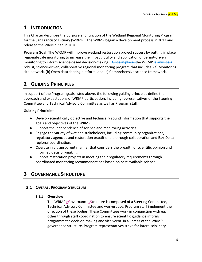# **1 INTRODUCTION**

 This Charter describes the purpose and function of the Wetland Regional Monitoring Program for the San Francisco Estuary (WRMP). The WRMP began a development process in 2017 and released the WRMP Plan in 2020.

 **Program Goal:** The WRMP will improve wetland restoration project success by putting in place regional‐scale monitoring to increase the impact, utility and application of permit‐driven monitoring to inform science-based decision-making. T<del>Once in place, t</del>he WRMP is awill be a robust, science‐driven, collaborative regional monitoring program that includes: (a) Monitoring site network, (b) Open data sharing platform, and (c) Comprehensive science framework.

# **2 GUIDING PRINCIPLES**

 In support of the Program goals listed above, the following guiding principles define the approach and expectations of WRMP participation, including representatives of the Steering Committee and Technical Advisory Committee as well as Program staff.

### **Guiding Principles**:

- ● Develop scientifically objective and technically sound information that supports the goals and objectives of the WRMP.
- Support the independence of science and monitoring activities.
- Engage the variety of wetland stakeholders, including community organizations, regulatory agencies and restoration practitioners through collaboration and Bay‐Delta regional coordination.
- ● Operate in a transparent manner that considers the breadth of scientific opinion and informed decision‐making.
- Support restoration projects in meeting their regulatory requirements through coordinated monitoring recommendations based on best available science.

# **3 GOVERNANCE STRUCTURE**

# **3.1 OVERALL PROGRAM STRUCTURE**

## **3.1.1 Overview**

The WRMP g<del>G</del>overnance sstructure is composed of a Steering Committee, Technical Advisory Committee and workgroups. Program staff implement the direction of these bodies. These Committees work in conjunction with each other through staff coordination to ensure scientific guidance informs programmatic decision‐making and vice versa. In all areas of the WRMP governance structure, Program representatives strive for interdisciplinary,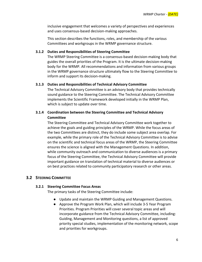inclusive engagement that welcomes a variety of perspectives and experiences and uses consensus‐based decision‐making approaches.

 This section describes the functions, roles, and membership of the various Committees and workgroups in the WRMP governance structure.

#### **3.1.2 Duties and Responsibilities of Steering Committee**

 The WRMP Steering Committee is a consensus‐based decision‐making body that guides the overall priorities of the Program. It is the ultimate decision‐making body for the WRMP. All recommendations and information from various groups in the WRMP governance structure ultimately flow to the Steering Committee to inform and support its decision‐making.

#### **3.1.3 Duties and Responsibilities of Technical Advisory Committee**

 The Technical Advisory Committee is an advisory body that provides technically sound guidance to the Steering Committee. The Technical Advisory Committee implements the Scientific Framework developed initially in the WRMP Plan, which is subject to update over time.

#### **3.1.4 Coordination between the Steering Committee and Technical Advisory Committee**

 The Steering Committee and Technical Advisory Committee work together to achieve the goals and guiding principles of the WRMP. While the focus areas of the two Committees are distinct, they do include some subject area overlap. For example, while the primary role of the Technical Advisory Committee is to advise on the scientific and technical focus areas of the WRMP, the Steering Committee ensures the science is aligned with the Management Questions. In addition, while community outreach and communication to diverse audiences is a primary focus of the Steering Committee, the Technical Advisory Committee will provide important guidance on translation of technical material to diverse audiences or on best practices related to community participatory research or other areas.

#### **3.2 STEERING COMMITTEE**

#### **3.2.1 Steering Committee Focus Areas**

The primary tasks of the Steering Committee include:

- Update and maintain the WRMP Guiding and Management Questions.
- Approve the Program Work Plan, which will include 3-5 Year Program Priorities. Program Priorities will cover several topic areas and will incorporate guidance from the Technical Advisory Committee, including: Guiding, Management and Monitoring questions, a list of approved priority special studies, implementation of the monitoring network, scope and priorities for workgroups.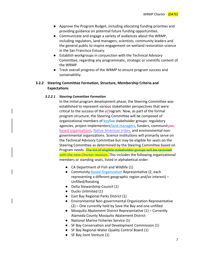- Approve the Program Budget, including allocating funding priorities and providing guidance on potential future funding opportunities.
- ● Communicate and engage a variety of audiences about the WRMP, including regulators, land managers, scientists, community leaders and the general public to inspire engagement on wetland restoration science in the San Francisco Estuary.
- Establish workgroups in conjunction with the Technical Advisory Committee, regarding any programmatic, strategic or scientific content of the WRMP.
- Track overall progress of the WRMP to ensure program success and sustainability.

#### **3.2.2 Steering Committee Formation, Structure, Membership Criteria and Expectations**

#### *3.2.2.1 Steering Committee Formation*

 In the initial program development phase, the Steering Committee was established to represent various stakeholder perspectives that were critical to the success of the  $p$ Program. Now, as part of the formal program structure, the Steering Committee will be composed of organizational members of **key<del>five</del> stakeholder groups: regulatory** agencies, project implementers<u>/land managers</u>, funders, communit<u>yies-</u> based organizations, Native American tribes, and environmental non- governmental organizations. Science institutions will primarily serve on the Technical Advisory Committee but may be eligible for seats on the Steering Committee as determined by the Steering Committee based on Program needs. <del>The list of eligible stakeholder groups will be revisited</del> with the next Charter revision. This includes the following organizational members or standing seats, listed in alphabetical order:

- CA Department of Fish and Wildlife (1)
- Community-based Organization Representative (2, each representing a different geographic region and/or interest) – Unfilled/Rotating
- Delta Stewardship Council (1)
- Ducks Unlimited (1)
- East Bay Regional Parks District (1)
- (2) One currently held by Save the Bay and one unfilled ● Environmental Non-governmental Organization Representative
- Mosquito Abatement District Representative (1) Currently Alameda County Mosquito Abatement District
- National Marine Fisheries Service (1)
- SF Bay Conservation and Development Commission (1)
- SF Bay Regional Water Quality Control Board (1)
- SF Bay Joint Venture (1)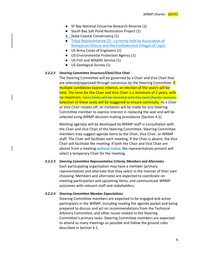- SF Bay National Estuarine Research Reserve (1)
- South Bay Salt Pond Restoration Project (1)
- **•** State Coastal Conservancy (1)
- Tribal Representative (2) currently held by Association of Ramaytush Ohlone and the Confederated Villages of Lisjan
- US Army Corps of Engineers (1)
- US Environmental Protection Agency (1)
- US Fish and Wildlife Service (1)
- US Geological Survey (1)

#### *3.2.2.2 Steering Committee Structure/Chair/Vice Chair*

 The Steering Committee will be governed by a Chair and Vice Chair that are selected/approved through consensus by the Steering Committee. <mark>If</mark> multiple candidates express interest, an election of the seat/s will be held. The term for the Chair and Vice Chair is a minimum of 2 years, with no maximum. Term limits will be revisited with the next Charter revision. Selection of these seats will be staggered to ensure continuity. As a Chair or Vice Chair rotates off, an invitation will be made for any Steering Committee member to express interest in replacing the seat and will be selected using WRMP decision‐making procedures (Section 4.2).

 Meeting agendas will be developed by WRMP staff in consultation with the Chair and Vice Chair of the Steering Committee. Steering Committee members may suggest agenda items to the Chair, Vice Chair, or WRMP staff. The Chair will facilitate each meeting. If the Chair is absent, the Vice Chair will facilitate the meeting. If both the Chair and Vice Chair are absent from a meeting-without notice, the representatives present will select a temporary Chair for the meeting.

#### *3.2.2.3 Steering Committee Representative Criteria, Members and Alternates*

 Each participating organization may have a member (primary representative) and alternate that they select in the manner of their own choosing. Members and alternates are expected to coordinate on meeting participation and upcoming items, and communicate WRMP outcomes with relevant staff and stakeholders.

#### *3.2.2.4 Steering Committee Member Expectations*

 Steering Committee members are expected to be engaged and active participants in the WRMP, including reading the agenda packet and being prepared to discuss and act on recommendations from the Technical Advisory Committee, and other issues related to the Steering Committee's primary tasks. Steering Committee members are expected to attend as many meetings as possible and follow the ground rules described in Section 4.1.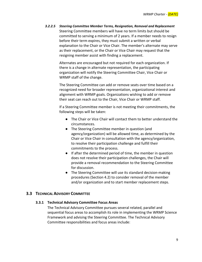*3.2.2.5 Steering Committee Member Terms, Resignation, Removal and Replacement* Steering Committee members will have no term limits but should be committed to serving a minimum of 2 years. If a member needs to resign before their term expires, they must submit a written or verbal explanation to the Chair or Vice Chair. The member's alternate may serve as their replacement, or the Chair or Vice Chair may request that the resigning member assist with finding a replacement.

> Alternates are encouraged but not required for each organization. If there is a change in alternate representation, the participating organization will notify the Steering Committee Chair, Vice Chair or WRMP staff of the change.

 The Steering Committee can add or remove seats over time based on a recognized need for broader representation, organizational interest and alignment with WRMP goals. Organizations wishing to add or remove their seat can reach out to the Chair, Vice Chair or WRMP staff.

 If a Steering Committee member is not meeting their commitments, the following steps will be taken:

- The Chair or Vice Chair will contact them to better understand the circumstances.
- ● The Steering Committee member in question (and agency/organization) will be allowed time, as determined by the Chair or Vice Chair in consultation with the agency/organization, to resolve their participation challenge and fulfill their commitments to the process.
- If after the determined period of time, the member in question does not resolve their participation challenges, the Chair will provide a removal recommendation to the Steering Committee for discussion.
- The Steering Committee will use its standard decision-making procedures (Section 4.2) to consider removal of the member and/or organization and to start member replacement steps.

### **3.3 TECHNICAL ADVISORY COMMITTEE**

#### **3.3.1 Technical Advisory Committee Focus Areas**

 The Technical Advisory Committee pursues several related, parallel and sequential focus areas to accomplish its role in implementing the WRMP Science Framework and advising the Steering Committee. The Technical Advisory Committee responsibilities and focus areas include: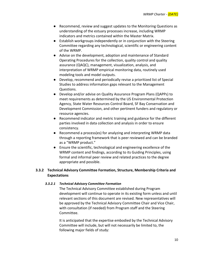- ● Recommend, review and suggest updates to the Monitoring Questions as understanding of the estuary processes increase, including WRMP indicators and metrics contained within the Master Matrix.
- Establish workgroups independently or in conjunction with the Steering Committee regarding any technological, scientific or engineering content of the WRMP.
- Advise on the development, adoption and maintenance of Standard Operating Procedures for the collection, quality control and quality assurance (QAQC), management, visualization, analysis, and interpretation of WRMP empirical monitoring data, routinely used modeling tools and model outputs.
- ● Develop, recommend and periodically revise a prioritized list of Special Studies to address information gaps relevant to the Management Questions.
- Develop and/or advise on Quality Assurance Program Plans (QAPPs) to meet requirements as determined by the US Environmental Protection Agency, State Water Resources Control Board, SF Bay Conservation and Development Commission, and other pertinent funders and regulatory or resource agencies.
- ● Recommend indicator and metric training and guidance for the different parties involved in data collection and analysis in order to ensure consistency.
- Recommend a process(es) for analyzing and interpreting WRMP data through a reporting framework that is peer reviewed and can be branded as a "WRMP product."
- Ensure the scientific, technological and engineering excellence of the WRMP content and findings, according to its Guiding Principles, using formal and informal peer review and related practices to the degree appropriate and possible.

### **3.3.2 Technical Advisory Committee Formation, Structure, Membership Criteria and Expectations**

#### *3.3.2.1 Technical Advisory Committee Formation*

 The Technical Advisory Committee established during Program development will continue to operate in its existing form unless and until relevant sections of this document are revised. New representatives will be approved by the Technical Advisory Committee Chair and Vice Chair, with consultation (if needed) from Program staff and the Steering Committee.

 It is anticipated that the expertise embodied by the Technical Advisory Committee will include, but will not necessarily be limited to, the following major fields of study: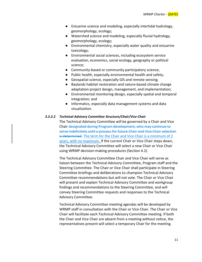- ● Estuarine science and modeling, especially intertidal hydrology, geomorphology, ecology;
- ● Watershed science and modeling, especially fluvial hydrology, geomorphology, ecology;
- ● Environmental chemistry, especially water quality and estuarine toxicology;
- Environmental social sciences, including ecosystem service evaluation, economics, social ecology, geography or political science;
- Community-based or community participatory science;
- Public health, especially environmental health and safety;
- Geospatial science, especially GIS and remote sensing;
- Baylands habitat restoration and nature-based climate change adaptation project design, management, and implementation;
- ● Environmental monitoring design, especially spatial and temporal integration; and
- ● Informatics, especially data management systems and data visualization.

#### *3.3.2.2 Technical Advisory Committee Structure/Chair/Vice‐Chair*

 The Technical Advisory Committee will be governed by a Chair and Vice Chair designated during Program development, who may continue to serve indefinitely until a process for future Chair and Vice Chair selection is determined. The term for the Chair and Vice Chair is a minimum of 2 years, with no maximum. If the current Chair or Vice Chair steps down, the Technical Advisory Committee will select a new Chair or Vice Chair using WRMP decision‐making procedures (Section 4.2).

 The Technical Advisory Committee Chair and Vice Chair will serve as liaison between the Technical Advisory Committee, Program staff and the Steering Committee. The Chair or Vice Chair shall participate in Steering Committee briefings and deliberations to champion Technical Advisory Committee recommendations but will not vote. The Chair or Vice Chair will present and explain Technical Advisory Committee and workgroup findings and recommendations to the Steering Committee, and will convey Steering Committee requests and responses to the Technical Advisory Committee.

 Technical Advisory Committee meeting agendas will be developed by WRMP staff in consultation with the Chair or Vice Chair. The Chair or Vice Chair will facilitate each Technical Advisory Committee meeting. If both the Chair and Vice Chair are absent from a meeting without notice, the representatives present will select a temporary Chair for the meeting.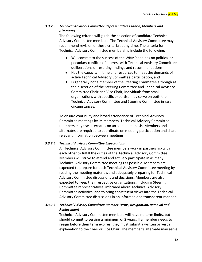#### *3.3.2.3 Technical Advisory Committee Representative Criteria, Members and Alternates*

 The following criteria will guide the selection of candidate Technical Advisory Committee members. The Technical Advisory Committee may recommend revision of these criteria at any time. The criteria for Technical Advisory Committee membership include the following:

- ● Will commit to the success of the WRMP and has no political or pecuniary conflicts of interest with Technical Advisory Committee deliberations or resulting findings and recommendations;
- Has the capacity in time and resources to meet the demands of active Technical Advisory Committee participation; and
- Is generally not a member of the Steering Committee although at the discretion of the Steering Committee and Technical Advisory Committee Chair and Vice Chair, individuals from small organizations with specific expertise may serve on both the Technical Advisory Committee and Steering Committee in rare circumstances.

 To ensure continuity and broad attendance of Technical Advisory Committee meetings by its members, Technical Advisory Committee members may use alternates on an as‐needed basis. Members and alternates are required to coordinate on meeting participation and share relevant information between meetings.

#### *3.3.2.4 Technical Advisory Committee Expectations*

 All Technical Advisory Committee members work in partnership with each other to fulfill the duties of the Technical Advisory Committee. Members will strive to attend and actively participate in as many Technical Advisory Committee meetings as possible. Members are expected to prepare for each Technical Advisory Committee meeting by reading the meeting materials and adequately preparing for Technical Advisory Committee discussions and decisions. Members are also expected to keep their respective organizations, including Steering Committee representatives, informed about Technical Advisory Committee activities, and to bring constituent views into the Technical Advisory Committee discussions in an informed and transparent manner.

#### *3.3.2.5 Technical Advisory Committee Member Terms, Resignation, Removal and Replacement*

 Technical Advisory Committee members will have no term limits, but should commit to serving a minimum of 2 years. If a member needs to resign before their term expires, they must submit a written or verbal explanation to the Chair or Vice Chair. The member's alternate may serve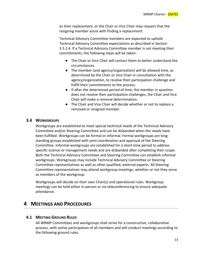as their replacement, or the Chair or Vice Chair may request that the resigning member assist with finding a replacement.

 Technical Advisory Committee members are expected to uphold Technical Advisory Committee expectations as described in Section 3.3.2.4. If a Technical Advisory Committee member is not meeting their commitments, the following steps will be taken:

- The Chair or Vice Chair will contact them to better understand the circumstances.
- The member (and agency/organization) will be allowed time, as determined by the Chair or Vice Chair in consultation with the agency/organization, to resolve their participation challenge and fulfill their commitments to the process.
- If after the determined period of time, the member in question does not resolve their participation challenges, the Chair and Vice Chair will make a removal determination.
- ● The Chair and Vice Chair will decide whether or not to replace a removed or resigned member.

### **3.4 WORKGROUPS**

 Workgroups are established to meet special technical needs of the Technical Advisory Committee and/or Steering Committee and can be disbanded when the needs have been fulfilled. Workgroups can be formal or informal. Formal workgroups are long‐ standing groups established with joint coordination and approval of the Steering Committee. Informal workgroups are established for a short time period to address specific science or management needs and are disbanded after completing their scope. Both the Technical Advisory Committee and Steering Committee can establish informal workgroups. Workgroups may include Technical Advisory Committee or Steering Committee representatives as well as other qualified, external experts. All Steering as members of the workgroup. Committee representatives may attend workgroup meetings, whether or not they serve

 Workgroups will decide on their own Chair(s) and operational rules. Workgroup meetings can be held either in‐person or via teleconferencing to ensure adequate attendance.

# **4 MEETINGS AND PROCEDURES**

# **4.1 MEETING GROUND RULES**

 All WRMP Committees and workgroups shall strive for a constructive, collaborative process, with active participation of all members and will conduct meetings according to the following ground rules: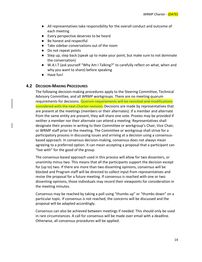- ● All representatives take responsibility for the overall conduct and outcome of each meeting
- Every perspective deserves to be heard
- Be honest and respectful
- Take sidebar conversations out of the room
- Do not repeat points
- ● Step up, step back (speak up to make your point, but make sure to not dominate the conversation)
- W.A.I.T (ask yourself "Why Am I Talking?" to carefully reflect on what, when and why you want to share) before speaking
- Have fun!

#### **4.2 DECISION‐MAKING PROCEDURES**

 The following decision‐making procedures apply to the Steering Committee, Technical Advisory Committee, and all WRMP workgroups. There are no meeting quorum requirements for decisions. <mark>Quorum requirements will be revisited and modifications</mark> considered with the next Charter revision. Decisions are made by representatives that are present at the meetings (members or their alternates). If a member and alternate from the same entity are present, they will share one vote. Proxies may be provided if neither a member nor their alternate can attend a meeting. Representatives shall designate their proxies in writing to their Committee or workgroup's Chair, Vice Chair, or WRMP staff prior to the meeting. The Committee or workgroup shall strive for a participatory process in discussing issues and arriving at a decision using a consensus‐ based approach. In consensus decision‐making, consensus does not always mean agreeing to a preferred option. It can mean accepting a proposal that a participant can "live with" for the good of the group.

 The consensus‐based approach used in this process will allow for two dissenters, or unanimity minus two. This means that all the participants support the decision except for (up to) two. If there are more than two dissenting opinions, consensus will be blocked and Program staff will be directed to collect input from representatives and revise the proposal for a future meeting. If consensus is reached with one or two dissenting opinions, those individuals may record their viewpoints for consideration in the meeting minutes.

 Consensus may be reached by taking a poll using "thumbs up" or "thumbs down" on a particular topic. If consensus is not reached, the concerns will be discussed and the proposal will be adapted accordingly.

 Consensus can also be achieved between meetings if needed. This should only be used in rare circumstances. A call for consensus will be made over email with a deadline. Otherwise, all consensus procedures will be applied.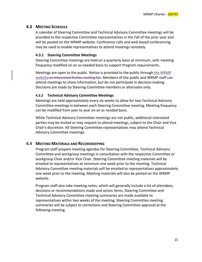## **4.3 MEETING SCHEDULE**

 A calendar of Steering Committee and Technical Advisory Committee meetings will be provided to the respective Committee representatives in the Fall of the prior year and will be posted on the WRMP website. Conference calls and web‐based conferencing may be used to enable representatives to attend meetings remotely.

#### **4.3.1 Steering Committee Meetings**

 Steering Committee meetings are held on a quarterly basis at minimum, with meeting frequency modified on an as‐needed basis to support Program requirements.

Meetings are open to the public. Notice is provided to the public through the WRMP website an Interested Parties mailing list. Members of the public and WRMP staff can attend meetings to share information, but do not participate in decision‐making. Decisions are made by Steering Committee members or alternates only.

#### **4.3.2 Technical Advisory Committee Meetings**

 Meetings are held approximately every six weeks to allow for two Technical Advisory Committee meetings in between each Steering Committee meeting. Meeting frequency can be modified from year to year on an as needed basis.

 While Technical Advisory Committee meetings are not public, additional interested parties may be invited or may request to attend meetings, subject to the Chair and Vice Chair's discretion. All Steering Committee representatives may attend Technical Advisory Committee meetings.

## **4.4 MEETING MATERIALS AND RECORDKEEPING**

 Program staff prepare meeting agendas for Steering Committee, Technical Advisory Committee and workgroup meetings in consultation with the respective Committee or workgroup Chair and/or Vice Chair. Steering Committee meeting materials will be emailed to representatives at minimum one week prior to the meeting. Technical Advisory Committee meeting materials will be emailed to representatives approximately one week prior to the meeting. Meeting materials will also be posted on the WRMP website.

 Program staff also take meeting notes, which will generally include a list of attendees, decisions or recommendations made and action items. Steering Committee and Technical Advisory Committee meeting summaries are made available to representatives within two weeks of the meeting. Steering Committee meeting summaries will be subject to corrections and Steering Committee approval at the following meeting.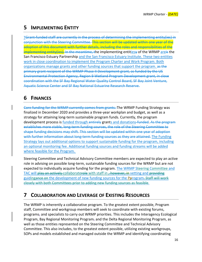# **5 IMPLEMENTING ENTITY**

 TGrant‐funded staff are currently in the process of determining the implementing entity(ies) in conjunction with the Steering Committee. This section will be updated within one year of the adoption of this document with further details, including the roles and responsibilities of the i<del>mplementing entity(ies). In the meantime, t</del>he implementing entit<u>ies</u>y of the WRMP <u>are</u>is the San Francisco Estuary Partnership and the San Francisco Estuary Institute. These two entities work in close coordination to implement the Program Charter and Work Program. Both organizations manage grants and other funding sources that support the program. as the primary grant recipient of the WRMP Phase II Development grant, as funded by the US Environmental Protection Agency, Region 9 Wetland Program Development grant, in close coordination with the SF Bay Regional Water Quality Control Board, SF Bay Joint Venture, Aquatic Science Center and SF Bay National Estuarine Research Reserve.

# **6 FINANCES**

 Core funding for the WRMP currently comes from grants. The WRMP Funding Strategy was finalized in December 2020 and provides a three‐year workplan and budget, as well as a strategy for attaining long‐term sustainable program funds. Currently, the program development process is <u>funded through entirel</u>y grant<u>s and donations</u>-funded. As the program establishes more stable, long‐term funding sources, the role of the Steering Committee to shape funding decisions may shift. This section will be updated within one year of adoption with further information about long-term funding sources as they are attained. The Funding Strategy lays out additional options to support sustainable funding for the program, including an optional monitoring fee. Additional funding sources and funding streams will be added where feasible for the Program.

 Steering Committee and Technical Advisory Committee members are expected to play an active role in advising on possible long‐term, sustainable funding sources for the WRMP but are not expected to individually acquire funding for the program. The WRMP Steering Committee and TAC will play an actively collaboraterole with staff in <del>, however, in</del> vetting and providing guiding<del>ance on</del> the development of new funding sources for the Pprogram<del>. Staff will work</del> closely with both Committees prior to adding new funding sources as feasible.

# **7 COLLABORATION AND LEVERAGE OF EXISTING RESOURCES**

 The WRMP is inherently a collaborative program. To the greatest extent possible, Program staff, Committee and workgroup members will seek to coordinate with existing forums, programs, and specialists to carry out WRMP priorities. This includes the Interagency Ecological Program, Bay Regional Monitoring Program, and the Delta Regional Monitoring Program, as well as those entities represented on the Steering Committee and Technical Advisory Committee. This also includes, to the greatest extent possible, utilizing existing workgroups, SOPs and models established and managed outside the WRMP and identifying coordinating